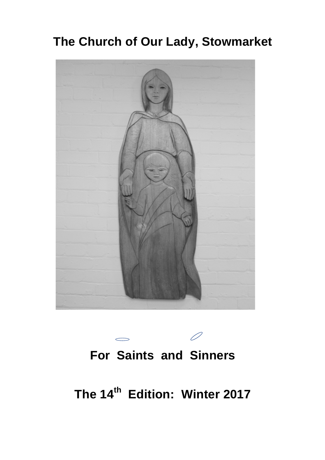# **The Church of Our Lady, Stowmarket**





**The 14th Edition: Winter 2017**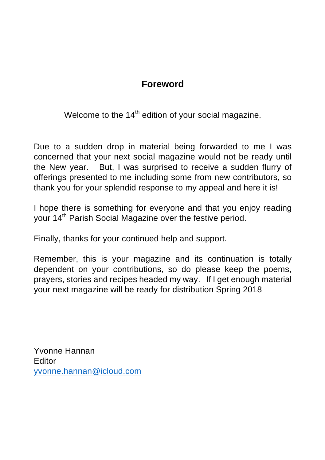## **Foreword**

Welcome to the  $14<sup>th</sup>$  edition of your social magazine.

Due to a sudden drop in material being forwarded to me I was concerned that your next social magazine would not be ready until the New year. But, I was surprised to receive a sudden flurry of offerings presented to me including some from new contributors, so thank you for your splendid response to my appeal and here it is!

I hope there is something for everyone and that you enjoy reading your 14<sup>th</sup> Parish Social Magazine over the festive period.

Finally, thanks for your continued help and support.

Remember, this is your magazine and its continuation is totally dependent on your contributions, so do please keep the poems, prayers, stories and recipes headed my way. If I get enough material your next magazine will be ready for distribution Spring 2018

Yvonne Hannan Editor yvonne.hannan@icloud.com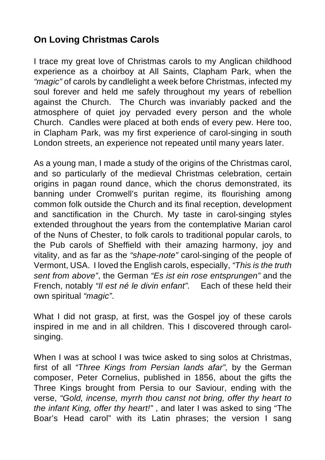# **On Loving Christmas Carols**

I trace my great love of Christmas carols to my Anglican childhood experience as a choirboy at All Saints, Clapham Park, when the *"magic"* of carols by candlelight a week before Christmas, infected my soul forever and held me safely throughout my years of rebellion against the Church. The Church was invariably packed and the atmosphere of quiet joy pervaded every person and the whole Church. Candles were placed at both ends of every pew. Here too, in Clapham Park, was my first experience of carol-singing in south London streets, an experience not repeated until many years later.

As a young man, I made a study of the origins of the Christmas carol, and so particularly of the medieval Christmas celebration, certain origins in pagan round dance, which the chorus demonstrated, its banning under Cromwell's puritan regime, its flourishing among common folk outside the Church and its final reception, development and sanctification in the Church. My taste in carol-singing styles extended throughout the years from the contemplative Marian carol of the Nuns of Chester, to folk carols to traditional popular carols, to the Pub carols of Sheffield with their amazing harmony, joy and vitality, and as far as the *"shape-note"* carol-singing of the people of Vermont, USA. I loved the English carols, especially, *"This is the truth sent from above"*, the German *"Es ist ein rose entsprungen"* and the French, notably *"Il est né le divin enfant".* Each of these held their own spiritual *"magic"*.

What I did not grasp, at first, was the Gospel joy of these carols inspired in me and in all children. This I discovered through carolsinging.

When I was at school I was twice asked to sing solos at Christmas, first of all *"Three Kings from Persian lands afar",* by the German composer, Peter Cornelius, published in 1856, about the gifts the Three Kings brought from Persia to our Saviour, ending with the verse, *"Gold, incense, myrrh thou canst not bring, offer thy heart to the infant King, offer thy heart!"* , and later I was asked to sing "The Boar's Head carol" with its Latin phrases; the version I sang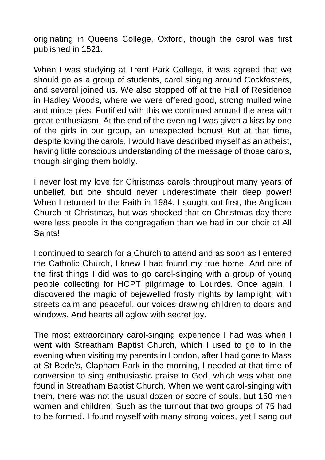originating in Queens College, Oxford, though the carol was first published in 1521.

When I was studying at Trent Park College, it was agreed that we should go as a group of students, carol singing around Cockfosters, and several joined us. We also stopped off at the Hall of Residence in Hadley Woods, where we were offered good, strong mulled wine and mince pies. Fortified with this we continued around the area with great enthusiasm. At the end of the evening I was given a kiss by one of the girls in our group, an unexpected bonus! But at that time, despite loving the carols, I would have described myself as an atheist, having little conscious understanding of the message of those carols, though singing them boldly.

I never lost my love for Christmas carols throughout many years of unbelief, but one should never underestimate their deep power! When I returned to the Faith in 1984. I sought out first, the Anglican Church at Christmas, but was shocked that on Christmas day there were less people in the congregation than we had in our choir at All **Saints!** 

I continued to search for a Church to attend and as soon as I entered the Catholic Church, I knew I had found my true home. And one of the first things I did was to go carol-singing with a group of young people collecting for HCPT pilgrimage to Lourdes. Once again, I discovered the magic of bejewelled frosty nights by lamplight, with streets calm and peaceful, our voices drawing children to doors and windows. And hearts all aglow with secret joy.

The most extraordinary carol-singing experience I had was when I went with Streatham Baptist Church, which I used to go to in the evening when visiting my parents in London, after I had gone to Mass at St Bede's, Clapham Park in the morning, I needed at that time of conversion to sing enthusiastic praise to God, which was what one found in Streatham Baptist Church. When we went carol-singing with them, there was not the usual dozen or score of souls, but 150 men women and children! Such as the turnout that two groups of 75 had to be formed. I found myself with many strong voices, yet I sang out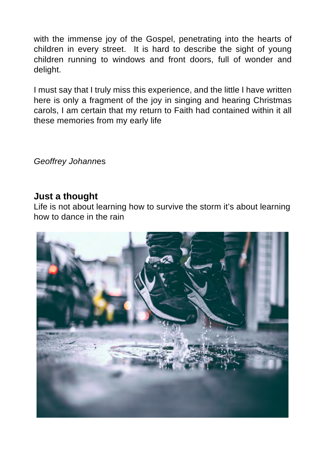with the immense joy of the Gospel, penetrating into the hearts of children in every street. It is hard to describe the sight of young children running to windows and front doors, full of wonder and delight.

I must say that I truly miss this experience, and the little I have written here is only a fragment of the joy in singing and hearing Christmas carols, I am certain that my return to Faith had contained within it all these memories from my early life

*Geoffrey Johann*es

#### **Just a thought**

Life is not about learning how to survive the storm it's about learning how to dance in the rain

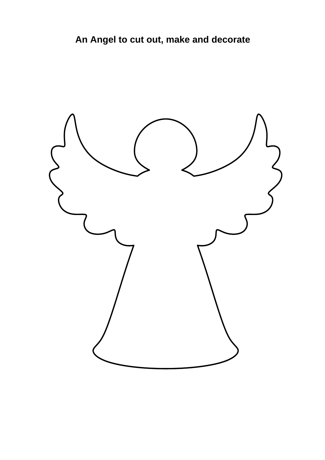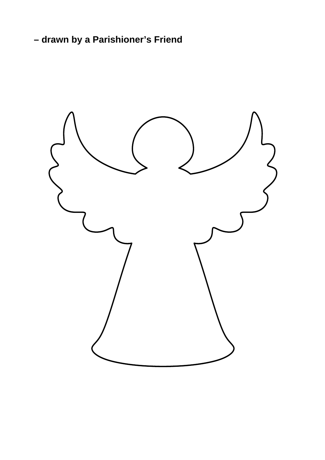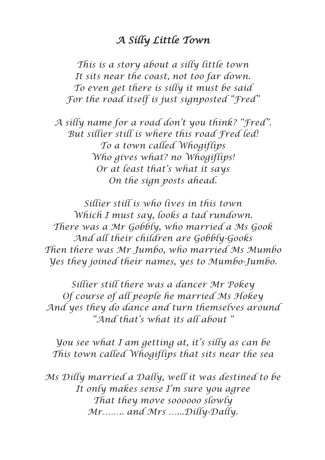## *A Silly Little Town*

*This is a story about a silly little town It sits near the coast, not too far down. To even get there is silly it must be said For the road itself is just signposted "Fred"*

*A silly name for a road don't you think? "Fred". But sillier still is where this road Fred led! To a town called Whogiflips Who gives what? no Whogiflips! Or at least that's what it says On the sign posts ahead.*

*Sillier still is who lives in this town Which I must say, looks a tad rundown. There was a Mr Gobbly, who married a Ms Gook And all their children are Gobbly-Gooks Then there was Mr Jumbo, who married Ms Mumbo Yes they joined their names, yes to Mumbo-Jumbo.*

*Sillier still there was a dancer Mr Pokey Of course of all people he married Ms Hokey And yes they do dance and turn themselves around "And that's what its all about "*

*You see what I am getting at, it's silly as can be This town called Whogiflips that sits near the sea*

*Ms Dilly married a Dally, well it was destined to be It only makes sense I'm sure you agree That they move soooooo slowly Mr…….. and Mrs …...Dilly-Dally.*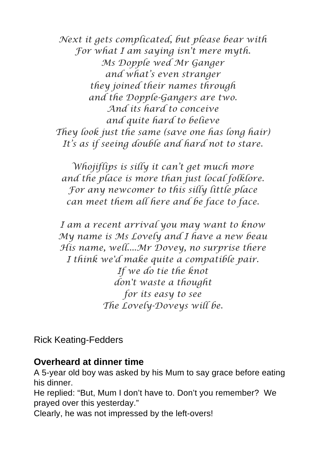*Next it gets complicated, but please bear with For what I am saying isn't mere myth. Ms Dopple wed Mr Ganger and what's even stranger they joined their names through and the Dopple-Gangers are two. And its hard to conceive and quite hard to believe They look just the same (save one has long hair) It's as if seeing double and hard not to stare.*

*Whojiflips is silly it can't get much more and the place is more than just local folklore. For any newcomer to this silly little place can meet them all here and be face to face.*

*I am a recent arrival you may want to know My name is Ms Lovely and I have a new beau His name, well....Mr Dovey, no surprise there I think we'd make quite a compatible pair. If we do tie the knot don't waste a thought for its easy to see The Lovely-Doveys will be.*

Rick Keating-Fedders

#### **Overheard at dinner time**

A 5-year old boy was asked by his Mum to say grace before eating his dinner.

He replied: "But, Mum I don't have to. Don't you remember? We prayed over this yesterday."

Clearly, he was not impressed by the left-overs!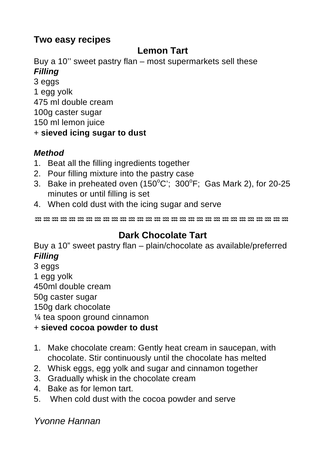# **Two easy recipes**

# **Lemon Tart**

Buy a 10'' sweet pastry flan – most supermarkets sell these *Filling*

- 3 eggs 1 egg yolk
- 475 ml double cream
- 100g caster sugar

150 ml lemon juice

+ **sieved icing sugar to dust**

## *Method*

- 1. Beat all the filling ingredients together
- 2. Pour filling mixture into the pastry case
- 3. Bake in preheated oven (150 $^{\circ}$ C'; 300 $^{\circ}$ F; Gas Mark 2), for 20-25 minutes or until filling is set
- 4. When cold dust with the icing sugar and serve

♒♒♒♒♒♒♒♒♒♒♒♒♒♒♒♒♒♒♒♒♒♒♒♒♒♒♒♒♒♒

# **Dark Chocolate Tart**

Buy a 10" sweet pastry flan – plain/chocolate as available/preferred *Filling* 

3 eggs 1 egg yolk 450ml double cream 50g caster sugar 150g dark chocolate ¼ tea spoon ground cinnamon

- + **sieved cocoa powder to dust**
- 1. Make chocolate cream: Gently heat cream in saucepan, with chocolate. Stir continuously until the chocolate has melted
- 2. Whisk eggs, egg yolk and sugar and cinnamon together
- 3. Gradually whisk in the chocolate cream
- 4. Bake as for lemon tart.
- 5. When cold dust with the cocoa powder and serve

*Yvonne Hannan*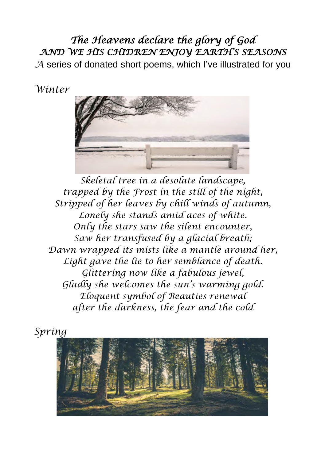# *The Heavens declare the glory of God AND WE HIS CHIDREN ENJOY EARTH'S SEASONS*

*A* series of donated short poems, which I've illustrated for you

*Winter* 



*Skeletal tree in a desolate landscape, trapped by the Frost in the still of the night, Stripped of her leaves by chill winds of autumn, Lonely she stands amid aces of white. Only the stars saw the silent encounter, Saw her transfused by a glacial breath; Dawn wrapped its mists like a mantle around her, Light gave the lie to her semblance of death. Glittering now like a fabulous jewel, Gladly she welcomes the sun's warming gold. Eloquent symbol of Beauties renewal after the darkness, the fear and the cold*

*Spring*

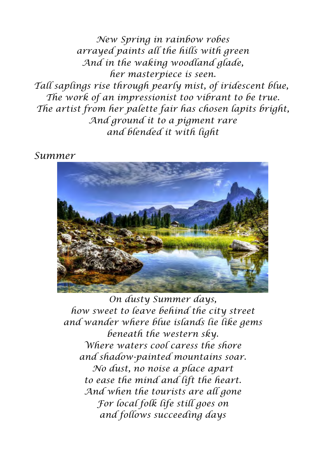*New Spring in rainbow robes arrayed paints all the hills with green And in the waking woodland glade, her masterpiece is seen. Tall saplings rise through pearly mist, of iridescent blue, The work of an impressionist too vibrant to be true. The artist from her palette fair has chosen lapits bright, And ground it to a pigment rare and blended it with light*

*Summer* 



*On dusty Summer days, how sweet to leave behind the city street and wander where blue islands lie like gems beneath the western sky. Where waters cool caress the shore and shadow-painted mountains soar. No dust, no noise a place apart to ease the mind and lift the heart. And when the tourists are all gone For local folk life still goes on and follows succeeding days*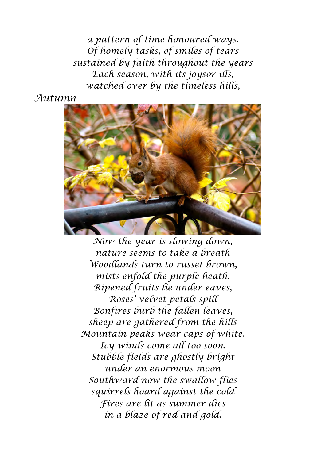*a pattern of time honoured ways. Of homely tasks, of smiles of tears sustained by faith throughout the years Each season, with its joysor ills, watched over by the timeless hills,*

*Autumn*



*Now the year is slowing down, nature seems to take a breath Woodlands turn to russet brown, mists enfold the purple heath. Ripened fruits lie under eaves, Roses' velvet petals spill Bonfires burb the fallen leaves, sheep are gathered from the hills Mountain peaks wear caps of white. Icy winds come all too soon. Stubble fields are ghostly bright under an enormous moon Southward now the swallow flies squirrels hoard against the cold Fires are lit as summer dies in a blaze of red and gold.*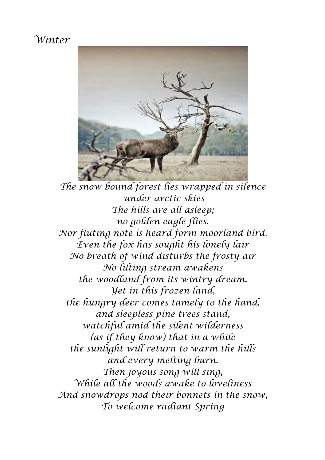## *Winter*



*The snow bound forest lies wrapped in silence under arctic skies The hills are all asleep; no golden eagle flies. Nor fluting note is heard form moorland bird. Even the fox has sought his lonely lair No breath of wind disturbs the frosty air No lilting stream awakens the woodland from its wintry dream. Yet in this frozen land, the hungry deer comes tamely to the hand, and sleepless pine trees stand, watchful amid the silent wilderness (as if they know) that in a while the sunlight will return to warm the hills and every melting burn. Then joyous song will sing, While all the woods awake to loveliness And snowdrops nod their bonnets in the snow, To welcome radiant Spring*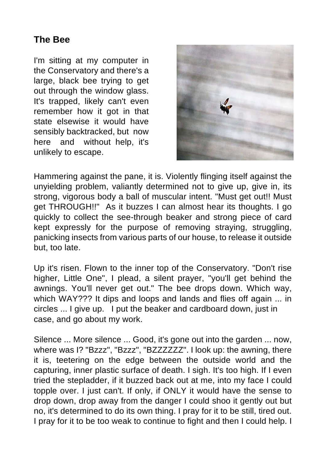## **The Bee**

I'm sitting at my computer in the Conservatory and there's a large, black bee trying to get out through the window glass. It's trapped, likely can't even remember how it got in that state elsewise it would have sensibly backtracked, but now here and without help, it's unlikely to escape.



Hammering against the pane, it is. Violently flinging itself against the unyielding problem, valiantly determined not to give up, give in, its strong, vigorous body a ball of muscular intent. "Must get out!! Must get THROUGH!!" As it buzzes I can almost hear its thoughts. I go quickly to collect the see-through beaker and strong piece of card kept expressly for the purpose of removing straying, struggling, panicking insects from various parts of our house, to release it outside but, too late.

Up it's risen. Flown to the inner top of the Conservatory. "Don't rise higher, Little One", I plead, a silent prayer, "you'll get behind the awnings. You'll never get out." The bee drops down. Which way, which WAY??? It dips and loops and lands and flies off again ... in circles ... I give up. I put the beaker and cardboard down, just in case, and go about my work.

Silence ... More silence ... Good, it's gone out into the garden ... now, where was I? "Bzzz", "Bzzz", "BZZZZZZZ". I look up: the awning, there it is, teetering on the edge between the outside world and the capturing, inner plastic surface of death. I sigh. It's too high. If I even tried the stepladder, if it buzzed back out at me, into my face I could topple over. I just can't. If only, if ONLY it would have the sense to drop down, drop away from the danger I could shoo it gently out but no, it's determined to do its own thing. I pray for it to be still, tired out. I pray for it to be too weak to continue to fight and then I could help. I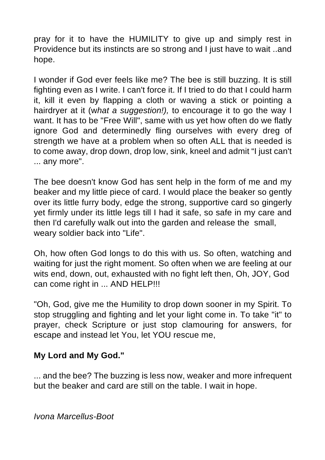pray for it to have the HUMILITY to give up and simply rest in Providence but its instincts are so strong and I just have to wait ..and hope.

I wonder if God ever feels like me? The bee is still buzzing. It is still fighting even as I write. I can't force it. If I tried to do that I could harm it, kill it even by flapping a cloth or waving a stick or pointing a hairdryer at it (w*hat a suggestion!),* to encourage it to go the way I want. It has to be "Free Will", same with us yet how often do we flatly ignore God and determinedly fling ourselves with every dreg of strength we have at a problem when so often ALL that is needed is to come away, drop down, drop low, sink, kneel and admit "I just can't ... any more".

The bee doesn't know God has sent help in the form of me and my beaker and my little piece of card. I would place the beaker so gently over its little furry body, edge the strong, supportive card so gingerly yet firmly under its little legs till I had it safe, so safe in my care and then I'd carefully walk out into the garden and release the small, weary soldier back into "Life".

Oh, how often God longs to do this with us. So often, watching and waiting for just the right moment. So often when we are feeling at our wits end, down, out, exhausted with no fight left then, Oh, JOY, God can come right in ... AND HELP!!!

"Oh, God, give me the Humility to drop down sooner in my Spirit. To stop struggling and fighting and let your light come in. To take "it" to prayer, check Scripture or just stop clamouring for answers, for escape and instead let You, let YOU rescue me,

#### **My Lord and My God."**

... and the bee? The buzzing is less now, weaker and more infrequent but the beaker and card are still on the table. I wait in hope.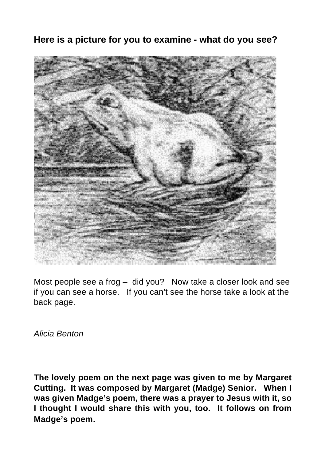## **Here is a picture for you to examine - what do you see?**



Most people see a frog – did you? Now take a closer look and see if you can see a horse. If you can't see the horse take a look at the back page.

*Alicia Benton* 

**The lovely poem on the next page was given to me by Margaret Cutting. It was composed by Margaret (Madge) Senior. When I was given Madge's poem, there was a prayer to Jesus with it, so I thought I would share this with you, too. It follows on from Madge's poem.**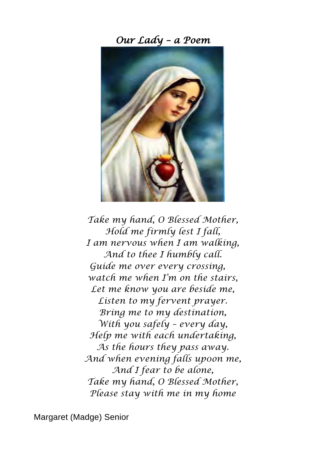*Our Lady – a Poem*



*Take my hand, O Blessed Mother, Hold me firmly lest I fall, I am nervous when I am walking, And to thee I humbly call. Guide me over every crossing, watch me when I'm on the stairs, Let me know you are beside me, Listen to my fervent prayer. Bring me to my destination, With you safely – every day, Help me with each undertaking, As the hours they pass away. And when evening falls up0on me, And I fear to be alone, Take my hand, O Blessed Mother, Please stay with me in my home*

Margaret (Madge) Senior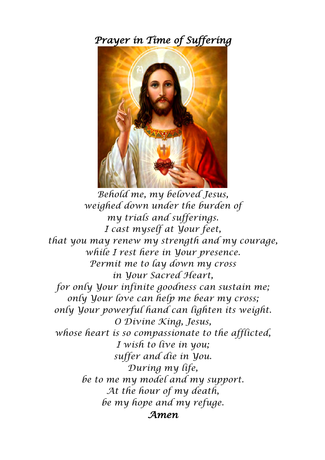*Prayer in Time of Suffering*



*Behold me, my beloved Jesus, weighed down under the burden of my trials and sufferings. I cast myself at Your feet, that you may renew my strength and my courage, while I rest here in Your presence. Permit me to lay down my cross in Your Sacred Heart, for only Your infinite goodness can sustain me; only Your love can help me bear my cross; only Your powerful hand can lighten its weight. O Divine King, Jesus, whose heart is so compassionate to the afflicted, I wish to live in you; suffer and die in You. During my life, be to me my model and my support. At the hour of my death, be my hope and my refuge. Amen*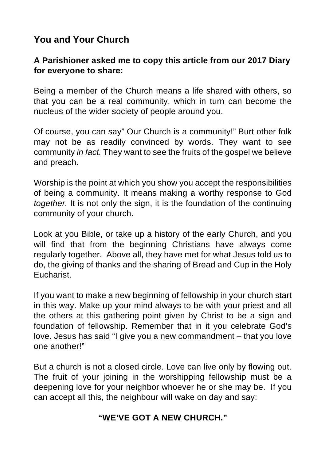# **You and Your Church**

#### **A Parishioner asked me to copy this article from our 2017 Diary for everyone to share:**

Being a member of the Church means a life shared with others, so that you can be a real community, which in turn can become the nucleus of the wider society of people around you.

Of course, you can say" Our Church is a community!" Burt other folk may not be as readily convinced by words. They want to see community *in fact.* They want to see the fruits of the gospel we believe and preach.

Worship is the point at which you show you accept the responsibilities of being a community. It means making a worthy response to God *together.* It is not only the sign, it is the foundation of the continuing community of your church.

Look at you Bible, or take up a history of the early Church, and you will find that from the beginning Christians have always come regularly together. Above all, they have met for what Jesus told us to do, the giving of thanks and the sharing of Bread and Cup in the Holy Eucharist.

If you want to make a new beginning of fellowship in your church start in this way. Make up your mind always to be with your priest and all the others at this gathering point given by Christ to be a sign and foundation of fellowship. Remember that in it you celebrate God's love. Jesus has said "I give you a new commandment – that you love one another!"

But a church is not a closed circle. Love can live only by flowing out. The fruit of your joining in the worshipping fellowship must be a deepening love for your neighbor whoever he or she may be. If you can accept all this, the neighbour will wake on day and say:

#### **"WE'VE GOT A NEW CHURCH."**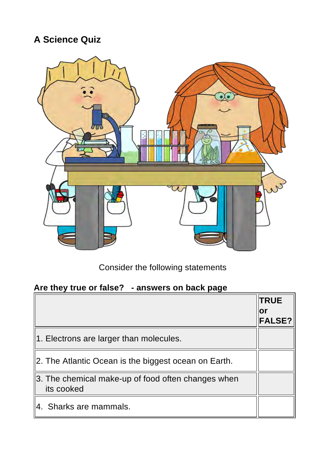# **A Science Quiz**



Consider the following statements

#### **Are they true or false? - answers on back page**

|                                                                   | <b>TRUE</b>   |
|-------------------------------------------------------------------|---------------|
|                                                                   | ΙOΙ           |
|                                                                   | <b>FALSE?</b> |
| 1. Electrons are larger than molecules.                           |               |
| 2. The Atlantic Ocean is the biggest ocean on Earth.              |               |
| ∥3. The chemical make-up of food often changes when<br>its cooked |               |
| 4. Sharks are mammals.                                            |               |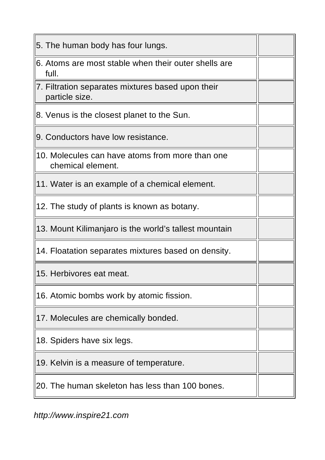| 5. The human body has four lungs.                                    |  |  |
|----------------------------------------------------------------------|--|--|
| 6. Atoms are most stable when their outer shells are<br>full.        |  |  |
| 7. Filtration separates mixtures based upon their<br>particle size.  |  |  |
| 8. Venus is the closest planet to the Sun.                           |  |  |
| 9. Conductors have low resistance.                                   |  |  |
| 10. Molecules can have atoms from more than one<br>chemical element. |  |  |
| 11. Water is an example of a chemical element.                       |  |  |
| 12. The study of plants is known as botany.                          |  |  |
| 13. Mount Kilimanjaro is the world's tallest mountain                |  |  |
| 14. Floatation separates mixtures based on density.                  |  |  |
| 15. Herbivores eat meat.                                             |  |  |
| 16. Atomic bombs work by atomic fission.                             |  |  |
| 17. Molecules are chemically bonded.                                 |  |  |
| 18. Spiders have six legs.                                           |  |  |
| 19. Kelvin is a measure of temperature.                              |  |  |
| 20. The human skeleton has less than 100 bones.                      |  |  |

*http://www.inspire21.com*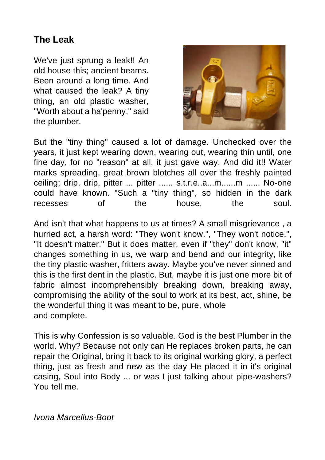# **The Leak**

We've just sprung a leak!! An old house this; ancient beams. Been around a long time. And what caused the leak? A tiny thing, an old plastic washer, "Worth about a ha'penny," said the plumber.



But the "tiny thing" caused a lot of damage. Unchecked over the years, it just kept wearing down, wearing out, wearing thin until, one fine day, for no "reason" at all, it just gave way. And did it!! Water marks spreading, great brown blotches all over the freshly painted ceiling; drip, drip, pitter ... pitter ...... s.t.r.e..a...m......m ...... No-one could have known. "Such a "tiny thing", so hidden in the dark recesses of the house, the soul.

And isn't that what happens to us at times? A small misgrievance , a hurried act, a harsh word: "They won't know.", "They won't notice.", "It doesn't matter." But it does matter, even if "they" don't know, "it" changes something in us, we warp and bend and our integrity, like the tiny plastic washer, fritters away. Maybe you've never sinned and this is the first dent in the plastic. But, maybe it is just one more bit of fabric almost incomprehensibly breaking down, breaking away, compromising the ability of the soul to work at its best, act, shine, be the wonderful thing it was meant to be, pure, whole and complete.

This is why Confession is so valuable. God is the best Plumber in the world. Why? Because not only can He replaces broken parts, he can repair the Original, bring it back to its original working glory, a perfect thing, just as fresh and new as the day He placed it in it's original casing, Soul into Body ... or was I just talking about pipe-washers? You tell me.

*Ivona Marcellus-Boot*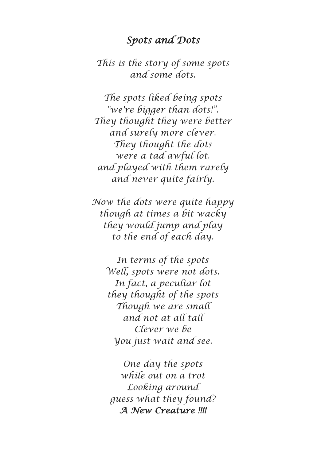#### *Spots and Dots*

*This is the story of some spots and some dots.*

*The spots liked being spots "we're bigger than dots!". They thought they were better and surely more clever. They thought the dots were a tad awful lot. and played with them rarely and never quite fairly.*

*Now the dots were quite happy though at times a bit wacky they would jump and play to the end of each day.*

> *In terms of the spots Well, spots were not dots. In fact, a peculiar lot they thought of the spots Though we are small and not at all tall Clever we be You just wait and see.*

*One day the spots while out on a trot Looking around guess what they found? A New Creature !!!!*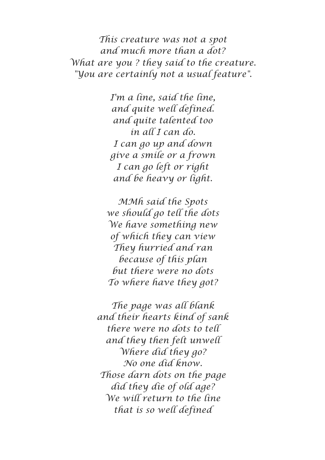*This creature was not a spot and much more than a dot? What are you ? they said to the creature. "You are certainly not a usual feature".*

> *I'm a line, said the line, and quite well defined. and quite talented too in all I can do. I can go up and down give a smile or a frown I can go left or right and be heavy or light.*

*MMh said the Spots we should go tell the dots We have something new of which they can view They hurried and ran because of this plan but there were no dots To where have they got?*

*The page was all blank and their hearts kind of sank there were no dots to tell and they then felt unwell Where did they go? No one did know. Those darn dots on the page did they die of old age? We will return to the line that is so well defined*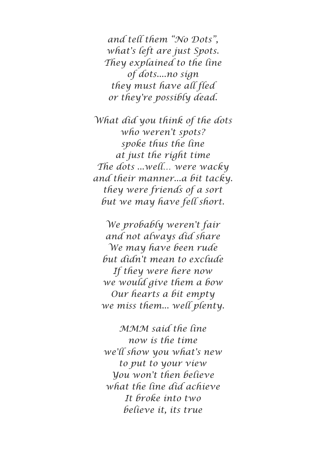*and tell them "No Dots", what's left are just Spots. They explained to the line of dots....no sign they must have all fled or they're possibly dead.*

*What did you think of the dots who weren't spots? spoke thus the line at just the right time The dots ...well… were wacky and their manner...a bit tacky. they were friends of a sort but we may have fell short.*

*We probably weren't fair and not always did share We may have been rude but didn't mean to exclude If they were here now we would give them a bow Our hearts a bit empty we miss them... well plenty.*

*MMM said the line now is the time we'll show you what's new to put to your view You won't then believe what the line did achieve It broke into two believe it, its true*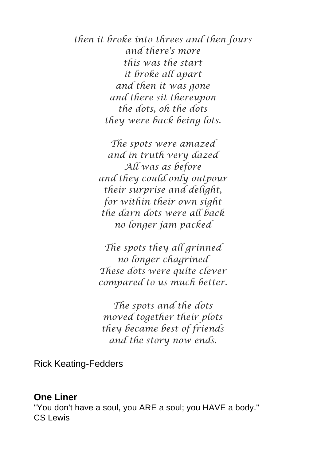*then it broke into threes and then fours and there's more this was the start it broke all apart and then it was gone and there sit thereupon the dots, oh the dots they were back being lots.*

> *The spots were amazed and in truth very dazed All was as before and they could only outpour their surprise and delight, for within their own sight the darn dots were all back no longer jam packed*

> *The spots they all grinned no longer chagrined These dots were quite clever compared to us much better.*

*The spots and the dots moved together their plots they became best of friends and the story now ends.*

Rick Keating-Fedders

#### **One Liner**

"You don't have a soul, you ARE a soul; you HAVE a body." CS Lewis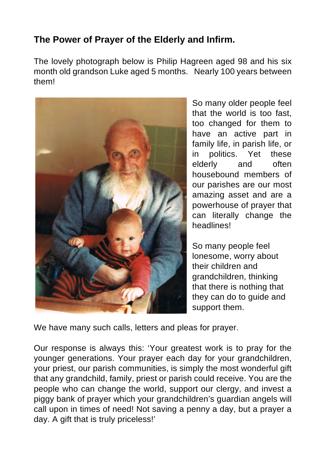# **The Power of Prayer of the Elderly and Infirm.**

The lovely photograph below is Philip Hagreen aged 98 and his six month old grandson Luke aged 5 months. Nearly 100 years between them!



So many older people feel that the world is too fast, too changed for them to have an active part in family life, in parish life, or in politics. Yet these elderly and often housebound members of our parishes are our most amazing asset and are a powerhouse of prayer that can literally change the headlines!

So many people feel lonesome, worry about their children and grandchildren, thinking that there is nothing that they can do to guide and support them.

We have many such calls, letters and pleas for prayer.

Our response is always this: 'Your greatest work is to pray for the younger generations. Your prayer each day for your grandchildren, your priest, our parish communities, is simply the most wonderful gift that any grandchild, family, priest or parish could receive. You are the people who can change the world, support our clergy, and invest a piggy bank of prayer which your grandchildren's guardian angels will call upon in times of need! Not saving a penny a day, but a prayer a day. A gift that is truly priceless!'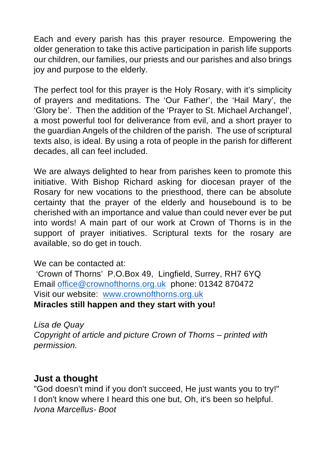Each and every parish has this prayer resource. Empowering the older generation to take this active participation in parish life supports our children, our families, our priests and our parishes and also brings joy and purpose to the elderly.

The perfect tool for this prayer is the Holy Rosary, with it's simplicity of prayers and meditations. The 'Our Father', the 'Hail Mary', the 'Glory be'. Then the addition of the 'Prayer to St. Michael Archangel', a most powerful tool for deliverance from evil, and a short prayer to the guardian Angels of the children of the parish. The use of scriptural texts also, is ideal. By using a rota of people in the parish for different decades, all can feel included.

We are always delighted to hear from parishes keen to promote this initiative. With Bishop Richard asking for diocesan prayer of the Rosary for new vocations to the priesthood, there can be absolute certainty that the prayer of the elderly and housebound is to be cherished with an importance and value than could never ever be put into words! A main part of our work at Crown of Thorns is in the support of prayer initiatives. Scriptural texts for the rosary are available, so do get in touch.

We can be contacted at:

'Crown of Thorns' P.O.Box 49, Lingfield, Surrey, RH7 6YQ Email office@crownofthorns.org.uk phone: 01342 870472 Visit our website: www.crownofthorns.org.uk **Miracles still happen and they start with you!** 

*Lisa de Quay Copyright of article and picture Crown of Thorns – printed with permission.*

#### **Just a thought**

"God doesn't mind if you don't succeed, He just wants you to try!" I don't know where I heard this one but, Oh, it's been so helpful. *Ivona Marcellus- Boot*